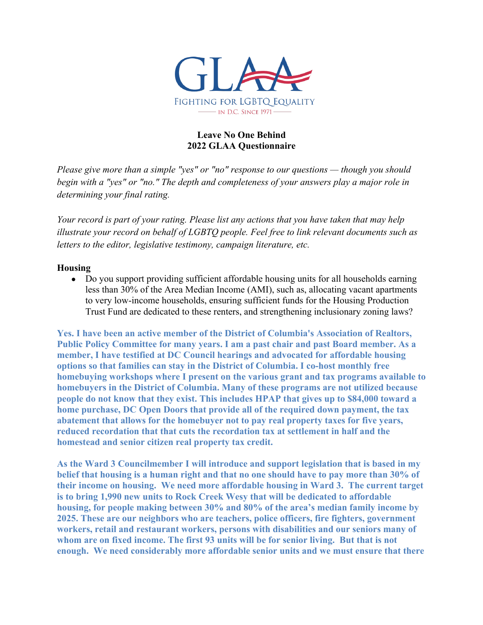

# **Leave No One Behind 2022 GLAA Questionnaire**

*Please give more than a simple "yes" or "no" response to our questions — though you should begin with a "yes" or "no." The depth and completeness of your answers play a major role in determining your final rating.*

*Your record is part of your rating. Please list any actions that you have taken that may help illustrate your record on behalf of LGBTQ people. Feel free to link relevant documents such as letters to the editor, legislative testimony, campaign literature, etc.*

### **Housing**

• Do you support providing sufficient affordable housing units for all households earning less than 30% of the Area Median Income (AMI), such as, allocating vacant apartments to very low-income households, ensuring sufficient funds for the Housing Production Trust Fund are dedicated to these renters, and strengthening inclusionary zoning laws?

**Yes. I have been an active member of the District of Columbia's Association of Realtors, Public Policy Committee for many years. I am a past chair and past Board member. As a member, I have testified at DC Council hearings and advocated for affordable housing options so that families can stay in the District of Columbia. I co-host monthly free homebuying workshops where I present on the various grant and tax programs available to homebuyers in the District of Columbia. Many of these programs are not utilized because people do not know that they exist. This includes HPAP that gives up to \$84,000 toward a home purchase, DC Open Doors that provide all of the required down payment, the tax abatement that allows for the homebuyer not to pay real property taxes for five years, reduced recordation that that cuts the recordation tax at settlement in half and the homestead and senior citizen real property tax credit.** 

**As the Ward 3 Councilmember I will introduce and support legislation that is based in my belief that housing is a human right and that no one should have to pay more than 30% of their income on housing. We need more affordable housing in Ward 3. The current target is to bring 1,990 new units to Rock Creek Wesy that will be dedicated to affordable housing, for people making between 30% and 80% of the area's median family income by 2025. These are our neighbors who are teachers, police officers, fire fighters, government workers, retail and restaurant workers, persons with disabilities and our seniors many of whom are on fixed income. The first 93 units will be for senior living. But that is not enough. We need considerably more affordable senior units and we must ensure that there**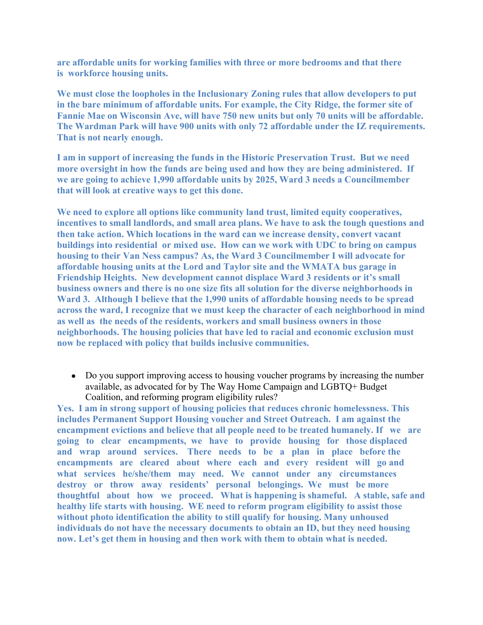**are affordable units for working families with three or more bedrooms and that there is workforce housing units.**

**We must close the loopholes in the Inclusionary Zoning rules that allow developers to put in the bare minimum of affordable units. For example, the City Ridge, the former site of Fannie Mae on Wisconsin Ave, will have 750 new units but only 70 units will be affordable. The Wardman Park will have 900 units with only 72 affordable under the IZ requirements. That is not nearly enough.**

**I am in support of increasing the funds in the Historic Preservation Trust. But we need more oversight in how the funds are being used and how they are being administered. If we are going to achieve 1,990 affordable units by 2025, Ward 3 needs a Councilmember that will look at creative ways to get this done.**

**We need to explore all options like community land trust, limited equity cooperatives, incentives to small landlords, and small area plans. We have to ask the tough questions and then take action. Which locations in the ward can we increase density, convert vacant buildings into residential or mixed use. How can we work with UDC to bring on campus housing to their Van Ness campus? As, the Ward 3 Councilmember I will advocate for affordable housing units at the Lord and Taylor site and the WMATA bus garage in Friendship Heights. New development cannot displace Ward 3 residents or it's small business owners and there is no one size fits all solution for the diverse neighborhoods in Ward 3. Although I believe that the 1,990 units of affordable housing needs to be spread across the ward, I recognize that we must keep the character of each neighborhood in mind as well as the needs of the residents, workers and small business owners in those neighborhoods. The housing policies that have led to racial and economic exclusion must now be replaced with policy that builds inclusive communities.** 

• Do you support improving access to housing voucher programs by increasing the number available, as advocated for by The Way Home Campaign and LGBTQ+ Budget Coalition, and reforming program eligibility rules?

**Yes. I am in strong support of housing policies that reduces chronic homelessness. This includes Permanent Support Housing voucher and Street Outreach. I am against the encampment evictions and believe that all people need to be treated humanely. If we are going to clear encampments, we have to provide housing for those displaced and wrap around services. There needs to be a plan in place before the encampments are cleared about where each and every resident will go and what services he/she/them may need. We cannot under any circumstances destroy or throw away residents' personal belongings. We must be more thoughtful about how we proceed. What is happening is shameful. A stable, safe and healthy life starts with housing. WE need to reform program eligibility to assist those without photo identification the ability to still qualify for housing. Many unhoused individuals do not have the necessary documents to obtain an ID, but they need housing now. Let's get them in housing and then work with them to obtain what is needed.**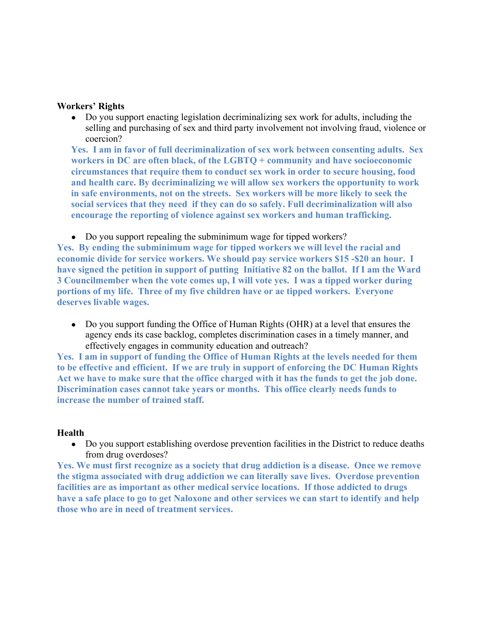### **Workers' Rights**

• Do you support enacting legislation decriminalizing sex work for adults, including the selling and purchasing of sex and third party involvement not involving fraud, violence or coercion?

**Yes. I am in favor of full decriminalization of sex work between consenting adults. Sex workers in DC are often black, of the LGBTQ + community and have socioeconomic circumstances that require them to conduct sex work in order to secure housing, food and health care. By decriminalizing we will allow sex workers the opportunity to work in safe environments, not on the streets. Sex workers will be more likely to seek the social services that they need if they can do so safely. Full decriminalization will also encourage the reporting of violence against sex workers and human trafficking.** 

• Do you support repealing the subminimum wage for tipped workers?

**Yes. By ending the subminimum wage for tipped workers we will level the racial and economic divide for service workers. We should pay service workers \$15 -\$20 an hour. I have signed the petition in support of putting Initiative 82 on the ballot. If I am the Ward 3 Councilmember when the vote comes up, I will vote yes. I was a tipped worker during portions of my life. Three of my five children have or ae tipped workers. Everyone deserves livable wages.**

• Do you support funding the Office of Human Rights (OHR) at a level that ensures the agency ends its case backlog, completes discrimination cases in a timely manner, and effectively engages in community education and outreach?

**Yes. I am in support of funding the Office of Human Rights at the levels needed for them to be effective and efficient. If we are truly in support of enforcing the DC Human Rights Act we have to make sure that the office charged with it has the funds to get the job done. Discrimination cases cannot take years or months. This office clearly needs funds to increase the number of trained staff.**

### **Health**

• Do you support establishing overdose prevention facilities in the District to reduce deaths from drug overdoses?

**Yes. We must first recognize as a society that drug addiction is a disease. Once we remove the stigma associated with drug addiction we can literally save lives. Overdose prevention facilities are as important as other medical service locations. If those addicted to drugs have a safe place to go to get Naloxone and other services we can start to identify and help those who are in need of treatment services.**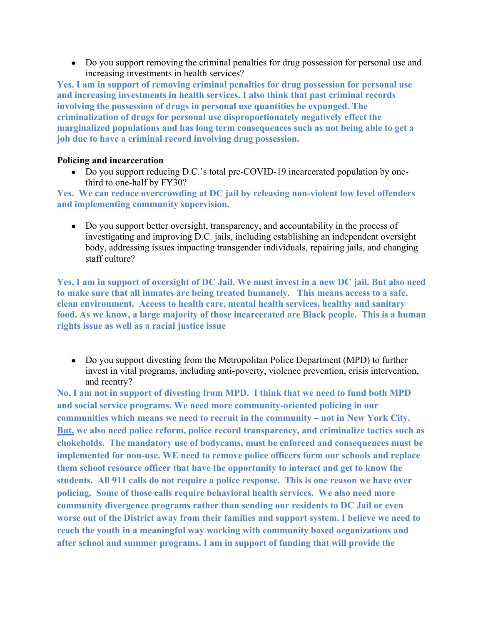• Do you support removing the criminal penalties for drug possession for personal use and increasing investments in health services?

**Yes. I am in support of removing criminal penalties for drug possession for personal use and increasing investments in health services. I also think that past criminal records involving the possession of drugs in personal use quantities be expunged. The criminalization of drugs for personal use disproportionately negatively effect the marginalized populations and has long term consequences such as not being able to get a job due to have a criminal record involving drug possession.** 

# **Policing and incarceration**

• Do you support reducing D.C.'s total pre-COVID-19 incarcerated population by onethird to one-half by FY30?

**Yes. We can reduce overcrowding at DC jail by releasing non-violent low level offenders and implementing community supervision.**

• Do you support better oversight, transparency, and accountability in the process of investigating and improving D.C. jails, including establishing an independent oversight body, addressing issues impacting transgender individuals, repairing jails, and changing staff culture?

**Yes, I am in support of oversight of DC Jail. We must invest in a new DC jail. But also need to make sure that all inmates are being treated humanely. This means access to a safe, clean environment. Access to health care, mental health services, healthy and sanitary food. As we know, a large majority of those incarcerated are Black people. This is a human rights issue as well as a racial justice issue**

• Do you support divesting from the Metropolitan Police Department (MPD) to further invest in vital programs, including anti-poverty, violence prevention, crisis intervention, and reentry?

**No, I am not in support of divesting from MPD. I think that we need to fund both MPD and social service programs. We need more community-oriented policing in our communities which means we need to recruit in the community – not in New York City. But, we also need police reform, police record transparency, and criminalize tactics such as chokeholds. The mandatory use of bodycams, must be enforced and consequences must be implemented for non-use. WE need to remove police officers form our schools and replace them school resource officer that have the opportunity to interact and get to know the students. All 911 calls do not require a police response. This is one reason we have over policing. Some of those calls require behavioral health services. We also need more community divergence programs rather than sending our residents to DC Jail or even worse out of the District away from their families and support system. I believe we need to reach the youth in a meaningful way working with community based organizations and after school and summer programs. I am in support of funding that will provide the**